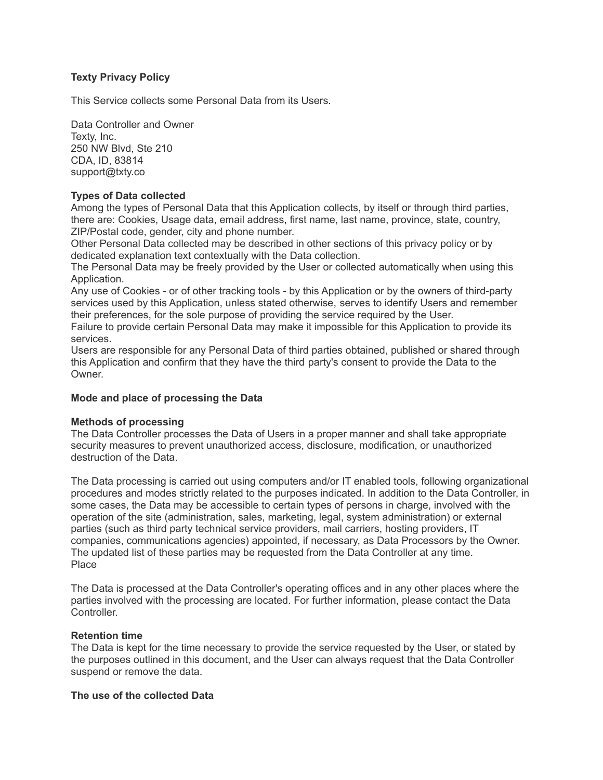# **Texty Privacy Policy**

This Service collects some Personal Data from its Users.

Data Controller and Owner Texty, Inc. 250 NW Blvd, Ste 210 CDA, ID, 83814 support@txty.co

# **Types of Data collected**

Among the types of Personal Data that this Application collects, by itself or through third parties, there are: Cookies, Usage data, email address, first name, last name, province, state, country, ZIP/Postal code, gender, city and phone number.

Other Personal Data collected may be described in other sections of this privacy policy or by dedicated explanation text contextually with the Data collection.

The Personal Data may be freely provided by the User or collected automatically when using this Application.

Any use of Cookies - or of other tracking tools - by this Application or by the owners of third-party services used by this Application, unless stated otherwise, serves to identify Users and remember their preferences, for the sole purpose of providing the service required by the User.

Failure to provide certain Personal Data may make it impossible for this Application to provide its services.

Users are responsible for any Personal Data of third parties obtained, published or shared through this Application and confirm that they have the third party's consent to provide the Data to the Owner.

### **Mode and place of processing the Data**

### **Methods of processing**

The Data Controller processes the Data of Users in a proper manner and shall take appropriate security measures to prevent unauthorized access, disclosure, modification, or unauthorized destruction of the Data.

The Data processing is carried out using computers and/or IT enabled tools, following organizational procedures and modes strictly related to the purposes indicated. In addition to the Data Controller, in some cases, the Data may be accessible to certain types of persons in charge, involved with the operation of the site (administration, sales, marketing, legal, system administration) or external parties (such as third party technical service providers, mail carriers, hosting providers, IT companies, communications agencies) appointed, if necessary, as Data Processors by the Owner. The updated list of these parties may be requested from the Data Controller at any time. Place

The Data is processed at the Data Controller's operating offices and in any other places where the parties involved with the processing are located. For further information, please contact the Data Controller.

### **Retention time**

The Data is kept for the time necessary to provide the service requested by the User, or stated by the purposes outlined in this document, and the User can always request that the Data Controller suspend or remove the data.

### **The use of the collected Data**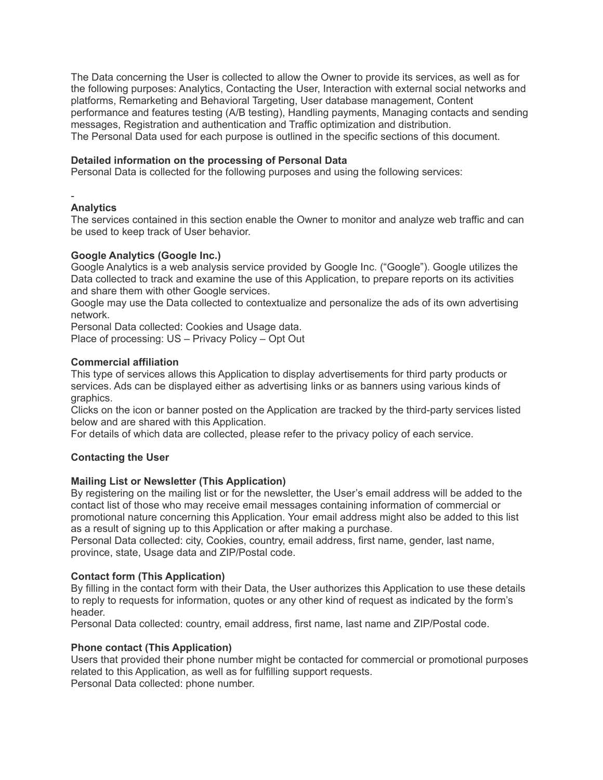The Data concerning the User is collected to allow the Owner to provide its services, as well as for the following purposes: Analytics, Contacting the User, Interaction with external social networks and platforms, Remarketing and Behavioral Targeting, User database management, Content performance and features testing (A/B testing), Handling payments, Managing contacts and sending messages, Registration and authentication and Traffic optimization and distribution. The Personal Data used for each purpose is outlined in the specific sections of this document.

### **Detailed information on the processing of Personal Data**

Personal Data is collected for the following purposes and using the following services:

#### - **Analytics**

The services contained in this section enable the Owner to monitor and analyze web traffic and can be used to keep track of User behavior.

### **Google Analytics (Google Inc.)**

Google Analytics is a web analysis service provided by Google Inc. ("Google"). Google utilizes the Data collected to track and examine the use of this Application, to prepare reports on its activities and share them with other Google services.

Google may use the Data collected to contextualize and personalize the ads of its own advertising network.

Personal Data collected: Cookies and Usage data. Place of processing: US – Privacy Policy – Opt Out

### **Commercial affiliation**

This type of services allows this Application to display advertisements for third party products or services. Ads can be displayed either as advertising links or as banners using various kinds of graphics.

Clicks on the icon or banner posted on the Application are tracked by the third-party services listed below and are shared with this Application.

For details of which data are collected, please refer to the privacy policy of each service.

### **Contacting the User**

### **Mailing List or Newsletter (This Application)**

By registering on the mailing list or for the newsletter, the User's email address will be added to the contact list of those who may receive email messages containing information of commercial or promotional nature concerning this Application. Your email address might also be added to this list as a result of signing up to this Application or after making a purchase.

Personal Data collected: city, Cookies, country, email address, first name, gender, last name, province, state, Usage data and ZIP/Postal code.

### **Contact form (This Application)**

By filling in the contact form with their Data, the User authorizes this Application to use these details to reply to requests for information, quotes or any other kind of request as indicated by the form's header.

Personal Data collected: country, email address, first name, last name and ZIP/Postal code.

### **Phone contact (This Application)**

Users that provided their phone number might be contacted for commercial or promotional purposes related to this Application, as well as for fulfilling support requests. Personal Data collected: phone number.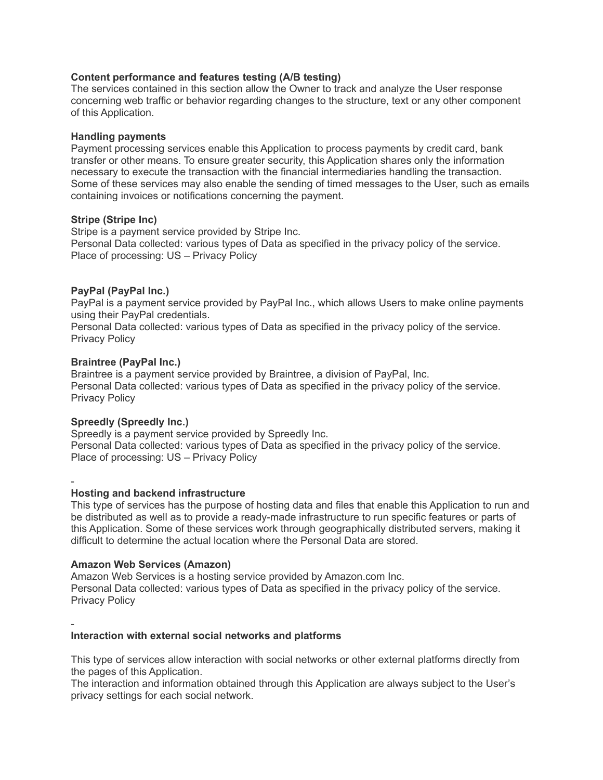### **Content performance and features testing (A/B testing)**

The services contained in this section allow the Owner to track and analyze the User response concerning web traffic or behavior regarding changes to the structure, text or any other component of this Application.

### **Handling payments**

Payment processing services enable this Application to process payments by credit card, bank transfer or other means. To ensure greater security, this Application shares only the information necessary to execute the transaction with the financial intermediaries handling the transaction. Some of these services may also enable the sending of timed messages to the User, such as emails containing invoices or notifications concerning the payment.

### **Stripe (Stripe Inc)**

Stripe is a payment service provided by Stripe Inc. Personal Data collected: various types of Data as specified in the privacy policy of the service. Place of processing: US – Privacy Policy

### **PayPal (PayPal Inc.)**

PayPal is a payment service provided by PayPal Inc., which allows Users to make online payments using their PayPal credentials.

Personal Data collected: various types of Data as specified in the privacy policy of the service. Privacy Policy

### **Braintree (PayPal Inc.)**

Braintree is a payment service provided by Braintree, a division of PayPal, Inc. Personal Data collected: various types of Data as specified in the privacy policy of the service. Privacy Policy

# **Spreedly (Spreedly Inc.)**

Spreedly is a payment service provided by Spreedly Inc. Personal Data collected: various types of Data as specified in the privacy policy of the service. Place of processing: US – Privacy Policy

-

# **Hosting and backend infrastructure**

This type of services has the purpose of hosting data and files that enable this Application to run and be distributed as well as to provide a ready-made infrastructure to run specific features or parts of this Application. Some of these services work through geographically distributed servers, making it difficult to determine the actual location where the Personal Data are stored.

# **Amazon Web Services (Amazon)**

Amazon Web Services is a hosting service provided by Amazon.com Inc. Personal Data collected: various types of Data as specified in the privacy policy of the service. Privacy Policy

### - **Interaction with external social networks and platforms**

This type of services allow interaction with social networks or other external platforms directly from the pages of this Application.

The interaction and information obtained through this Application are always subject to the User's privacy settings for each social network.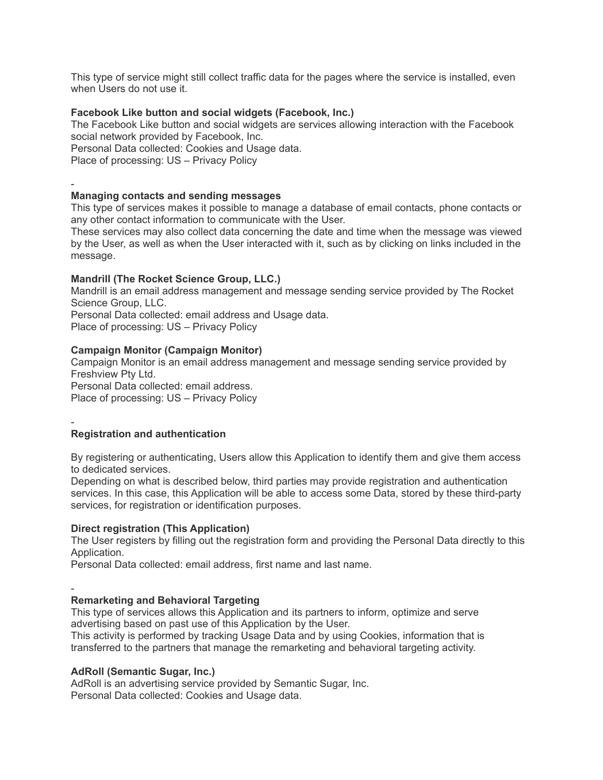This type of service might still collect traffic data for the pages where the service is installed, even when Users do not use it.

### **Facebook Like button and social widgets (Facebook, Inc.)**

The Facebook Like button and social widgets are services allowing interaction with the Facebook social network provided by Facebook, Inc. Personal Data collected: Cookies and Usage data.

Place of processing: US – Privacy Policy

-

### **Managing contacts and sending messages**

This type of services makes it possible to manage a database of email contacts, phone contacts or any other contact information to communicate with the User.

These services may also collect data concerning the date and time when the message was viewed by the User, as well as when the User interacted with it, such as by clicking on links included in the message.

### **Mandrill (The Rocket Science Group, LLC.)**

Mandrill is an email address management and message sending service provided by The Rocket Science Group, LLC.

Personal Data collected: email address and Usage data.

Place of processing: US – Privacy Policy

### **Campaign Monitor (Campaign Monitor)**

Campaign Monitor is an email address management and message sending service provided by Freshview Pty Ltd. Personal Data collected: email address. Place of processing: US – Privacy Policy

#### - **Registration and authentication**

By registering or authenticating, Users allow this Application to identify them and give them access to dedicated services.

Depending on what is described below, third parties may provide registration and authentication services. In this case, this Application will be able to access some Data, stored by these third-party services, for registration or identification purposes.

### **Direct registration (This Application)**

The User registers by filling out the registration form and providing the Personal Data directly to this Application.

Personal Data collected: email address, first name and last name.

#### - **Remarketing and Behavioral Targeting**

This type of services allows this Application and its partners to inform, optimize and serve advertising based on past use of this Application by the User.

This activity is performed by tracking Usage Data and by using Cookies, information that is transferred to the partners that manage the remarketing and behavioral targeting activity.

# **AdRoll (Semantic Sugar, Inc.)**

AdRoll is an advertising service provided by Semantic Sugar, Inc. Personal Data collected: Cookies and Usage data.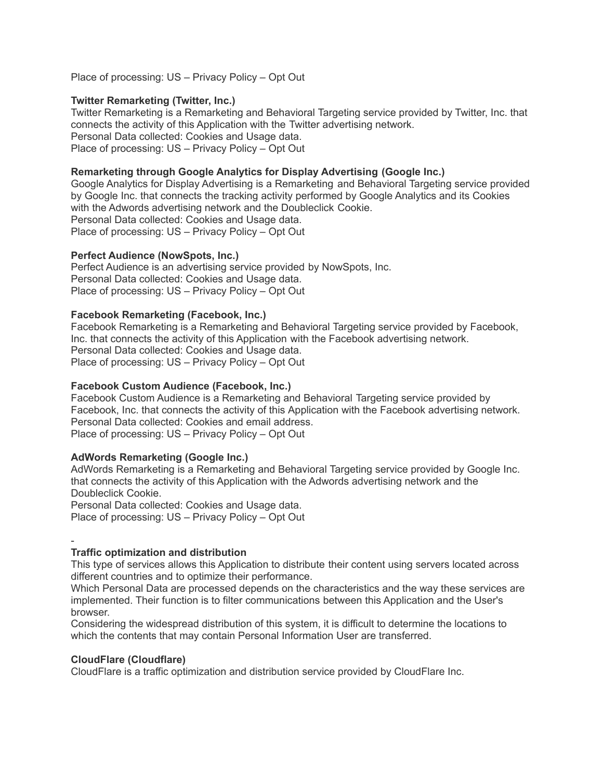Place of processing: US – Privacy Policy – Opt Out

### **Twitter Remarketing (Twitter, Inc.)**

Twitter Remarketing is a Remarketing and Behavioral Targeting service provided by Twitter, Inc. that connects the activity of this Application with the Twitter advertising network. Personal Data collected: Cookies and Usage data. Place of processing: US – Privacy Policy – Opt Out

### **Remarketing through Google Analytics for Display Advertising (Google Inc.)**

Google Analytics for Display Advertising is a Remarketing and Behavioral Targeting service provided by Google Inc. that connects the tracking activity performed by Google Analytics and its Cookies with the Adwords advertising network and the Doubleclick Cookie. Personal Data collected: Cookies and Usage data. Place of processing: US – Privacy Policy – Opt Out

### **Perfect Audience (NowSpots, Inc.)**

Perfect Audience is an advertising service provided by NowSpots, Inc. Personal Data collected: Cookies and Usage data. Place of processing: US – Privacy Policy – Opt Out

### **Facebook Remarketing (Facebook, Inc.)**

Facebook Remarketing is a Remarketing and Behavioral Targeting service provided by Facebook, Inc. that connects the activity of this Application with the Facebook advertising network. Personal Data collected: Cookies and Usage data. Place of processing: US – Privacy Policy – Opt Out

### **Facebook Custom Audience (Facebook, Inc.)**

Facebook Custom Audience is a Remarketing and Behavioral Targeting service provided by Facebook, Inc. that connects the activity of this Application with the Facebook advertising network. Personal Data collected: Cookies and email address. Place of processing: US – Privacy Policy – Opt Out

### **AdWords Remarketing (Google Inc.)**

AdWords Remarketing is a Remarketing and Behavioral Targeting service provided by Google Inc. that connects the activity of this Application with the Adwords advertising network and the Doubleclick Cookie. Personal Data collected: Cookies and Usage data.

Place of processing: US – Privacy Policy – Opt Out

-

### **Traffic optimization and distribution**

This type of services allows this Application to distribute their content using servers located across different countries and to optimize their performance.

Which Personal Data are processed depends on the characteristics and the way these services are implemented. Their function is to filter communications between this Application and the User's browser.

Considering the widespread distribution of this system, it is difficult to determine the locations to which the contents that may contain Personal Information User are transferred.

### **CloudFlare (Cloudflare)**

CloudFlare is a traffic optimization and distribution service provided by CloudFlare Inc.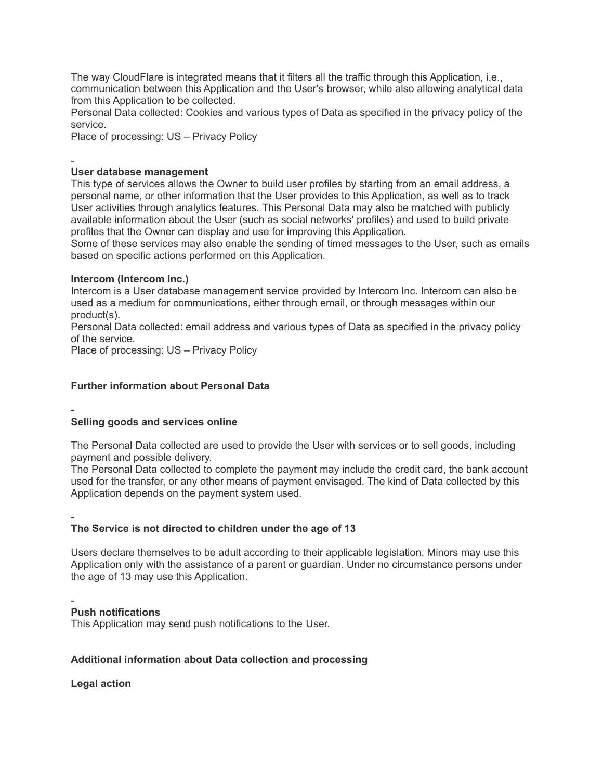The way CloudFlare is integrated means that it filters all the traffic through this Application, i.e., communication between this Application and the User's browser, while also allowing analytical data from this Application to be collected.

Personal Data collected: Cookies and various types of Data as specified in the privacy policy of the service.

Place of processing: US – Privacy Policy

#### - **User database management**

This type of services allows the Owner to build user profiles by starting from an email address, a personal name, or other information that the User provides to this Application, as well as to track User activities through analytics features. This Personal Data may also be matched with publicly available information about the User (such as social networks' profiles) and used to build private profiles that the Owner can display and use for improving this Application.

Some of these services may also enable the sending of timed messages to the User, such as emails based on specific actions performed on this Application.

### **Intercom (Intercom Inc.)**

Intercom is a User database management service provided by Intercom Inc. Intercom can also be used as a medium for communications, either through email, or through messages within our product(s).

Personal Data collected: email address and various types of Data as specified in the privacy policy of the service.

Place of processing: US – Privacy Policy

# **Further information about Personal Data**

#### - **Selling goods and services online**

The Personal Data collected are used to provide the User with services or to sell goods, including payment and possible delivery.

The Personal Data collected to complete the payment may include the credit card, the bank account used for the transfer, or any other means of payment envisaged. The kind of Data collected by this Application depends on the payment system used.

#### - **The Service is not directed to children under the age of 13**

Users declare themselves to be adult according to their applicable legislation. Minors may use this Application only with the assistance of a parent or guardian. Under no circumstance persons under the age of 13 may use this Application.

#### - **Push notifications**

This Application may send push notifications to the User.

### **Additional information about Data collection and processing**

**Legal action**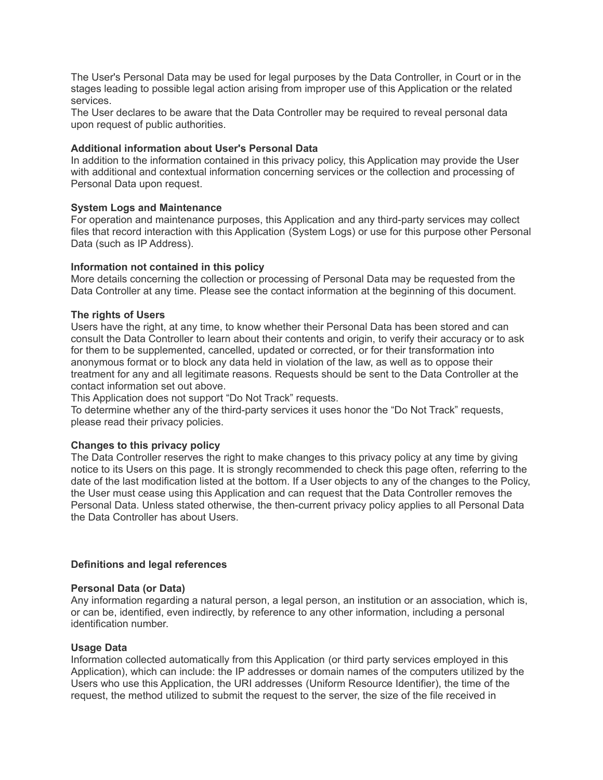The User's Personal Data may be used for legal purposes by the Data Controller, in Court or in the stages leading to possible legal action arising from improper use of this Application or the related services.

The User declares to be aware that the Data Controller may be required to reveal personal data upon request of public authorities.

### **Additional information about User's Personal Data**

In addition to the information contained in this privacy policy, this Application may provide the User with additional and contextual information concerning services or the collection and processing of Personal Data upon request.

### **System Logs and Maintenance**

For operation and maintenance purposes, this Application and any third-party services may collect files that record interaction with this Application (System Logs) or use for this purpose other Personal Data (such as IP Address).

### **Information not contained in this policy**

More details concerning the collection or processing of Personal Data may be requested from the Data Controller at any time. Please see the contact information at the beginning of this document.

### **The rights of Users**

Users have the right, at any time, to know whether their Personal Data has been stored and can consult the Data Controller to learn about their contents and origin, to verify their accuracy or to ask for them to be supplemented, cancelled, updated or corrected, or for their transformation into anonymous format or to block any data held in violation of the law, as well as to oppose their treatment for any and all legitimate reasons. Requests should be sent to the Data Controller at the contact information set out above.

This Application does not support "Do Not Track" requests.

To determine whether any of the third-party services it uses honor the "Do Not Track" requests, please read their privacy policies.

### **Changes to this privacy policy**

The Data Controller reserves the right to make changes to this privacy policy at any time by giving notice to its Users on this page. It is strongly recommended to check this page often, referring to the date of the last modification listed at the bottom. If a User objects to any of the changes to the Policy, the User must cease using this Application and can request that the Data Controller removes the Personal Data. Unless stated otherwise, the then-current privacy policy applies to all Personal Data the Data Controller has about Users.

### **Definitions and legal references**

### **Personal Data (or Data)**

Any information regarding a natural person, a legal person, an institution or an association, which is, or can be, identified, even indirectly, by reference to any other information, including a personal identification number.

### **Usage Data**

Information collected automatically from this Application (or third party services employed in this Application), which can include: the IP addresses or domain names of the computers utilized by the Users who use this Application, the URI addresses (Uniform Resource Identifier), the time of the request, the method utilized to submit the request to the server, the size of the file received in